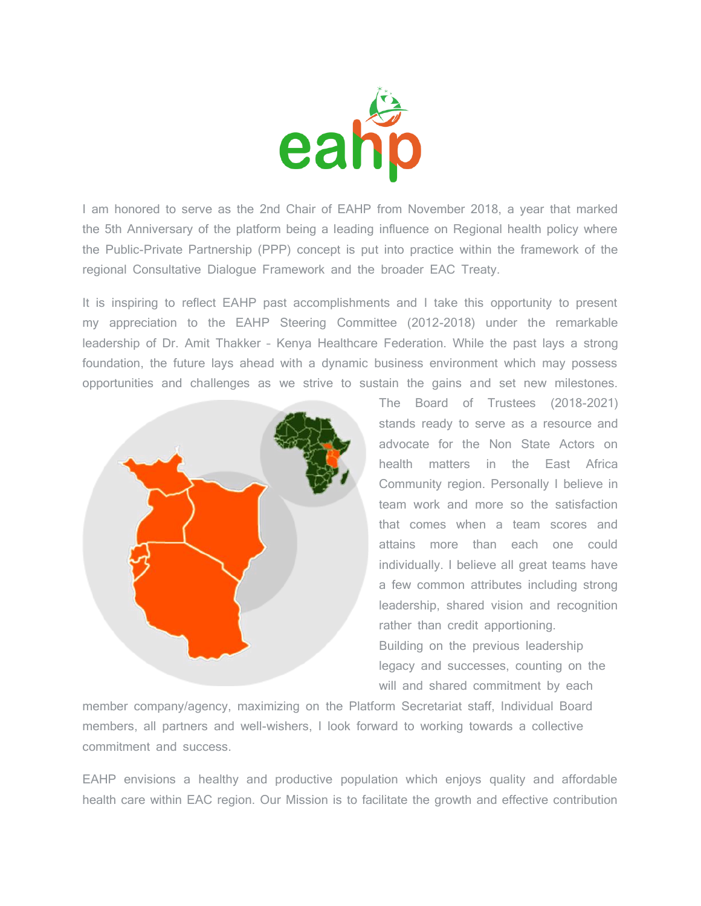

I am honored to serve as the 2nd Chair of EAHP from November 2018, a year that marked the 5th Anniversary of the platform being a leading influence on Regional health policy where the Public-Private Partnership (PPP) concept is put into practice within the framework of the regional Consultative Dialogue Framework and the broader EAC Treaty.

It is inspiring to reflect EAHP past accomplishments and I take this opportunity to present my appreciation to the EAHP Steering Committee (2012-2018) under the remarkable leadership of Dr. Amit Thakker – Kenya Healthcare Federation. While the past lays a strong foundation, the future lays ahead with a dynamic business environment which may possess opportunities and challenges as we strive to sustain the gains and set new milestones.



The Board of Trustees (2018-2021) stands ready to serve as a resource and advocate for the Non State Actors on health matters in the East Africa Community region. Personally I believe in team work and more so the satisfaction that comes when a team scores and attains more than each one could individually. I believe all great teams have a few common attributes including strong leadership, shared vision and recognition rather than credit apportioning. Building on the previous leadership legacy and successes, counting on the will and shared commitment by each

member company/agency, maximizing on the Platform Secretariat staff, Individual Board members, all partners and well-wishers, I look forward to working towards a collective commitment and success.

EAHP envisions a healthy and productive population which enjoys quality and affordable health care within EAC region. Our Mission is to facilitate the growth and effective contribution